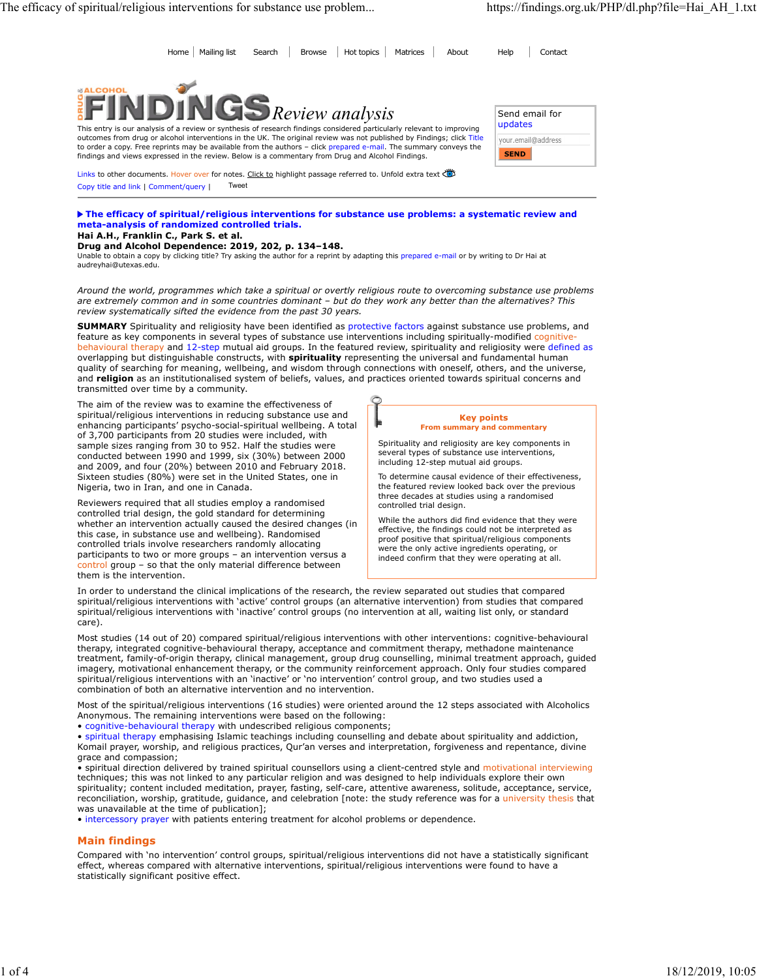Home Mailing list Search Browse Hot topics Matrices About Help Contact



This entry is our analysis of a review or synthesis of research findings considered particularly relevant to improving outcomes from drug or alcohol interventions in the UK. The original review was not published by Findings; click Title to order a copy. Free reprints may be available from the authors – click prepared e-mail. The summary conveys the findings and views expressed in the review. Below is a commentary from Drug and Alcohol Findings.

Links to other documents. Hover over for notes. Click to highlight passage referred to. Unfold extra text Copy title and link | Comment/query | Tweet

The efficacy of spiritual/religious interventions for substance use problems: a systematic review and meta-analysis of randomized controlled trials.

# Hai A.H., Franklin C., Park S. et al.

Drug and Alcohol Dependence: 2019, 202, p. 134–148.

Unable to obtain a copy by clicking title? Try asking the author for a reprint by adapting this prepared e-mail or by writing to Dr Hai at audreyhai@utexas.edu.

Around the world, programmes which take a spiritual or overtly religious route to overcoming substance use problems are extremely common and in some countries dominant – but do they work any better than the alternatives? This review systematically sifted the evidence from the past 30 years.

SUMMARY Spirituality and religiosity have been identified as protective factors against substance use problems, and feature as key components in several types of substance use interventions including spiritually-modified cognitive behavioural therapy and 12-step mutual aid groups. In the featured review, spirituality and religiosity were defined as overlapping but distinguishable constructs, with spirituality representing the universal and fundamental human quality of searching for meaning, wellbeing, and wisdom through connections with oneself, others, and the universe, and religion as an institutionalised system of beliefs, values, and practices oriented towards spiritual concerns and transmitted over time by a community.

The aim of the review was to examine the effectiveness of spiritual/religious interventions in reducing substance use and enhancing participants' psycho-social-spiritual wellbeing. A total of 3,700 participants from 20 studies were included, with sample sizes ranging from 30 to 952. Half the studies were conducted between 1990 and 1999, six (30%) between 2000 and 2009, and four (20%) between 2010 and February 2018. Sixteen studies (80%) were set in the United States, one in Nigeria, two in Iran, and one in Canada.

Reviewers required that all studies employ a randomised controlled trial design, the gold standard for determining whether an intervention actually caused the desired changes (in this case, in substance use and wellbeing). Randomised controlled trials involve researchers randomly allocating participants to two or more groups – an intervention versus a control group – so that the only material difference between them is the intervention.



Spirituality and religiosity are key components in several types of substance use interventions, including 12-step mutual aid groups.

To determine causal evidence of their effectiveness, the featured review looked back over the previous three decades at studies using a randomised controlled trial design.

While the authors did find evidence that they were effective, the findings could not be interpreted as proof positive that spiritual/religious components were the only active ingredients operating, or indeed confirm that they were operating at all.

In order to understand the clinical implications of the research, the review separated out studies that compared spiritual/religious interventions with 'active' control groups (an alternative intervention) from studies that compared spiritual/religious interventions with 'inactive' control groups (no intervention at all, waiting list only, or standard care).

Most studies (14 out of 20) compared spiritual/religious interventions with other interventions: cognitive-behavioural therapy, integrated cognitive-behavioural therapy, acceptance and commitment therapy, methadone maintenance treatment, family-of-origin therapy, clinical management, group drug counselling, minimal treatment approach, guided imagery, motivational enhancement therapy, or the community reinforcement approach. Only four studies compared spiritual/religious interventions with an 'inactive' or 'no intervention' control group, and two studies used a combination of both an alternative intervention and no intervention.

Most of the spiritual/religious interventions (16 studies) were oriented around the 12 steps associated with Alcoholics Anonymous. The remaining interventions were based on the following:

• cognitive-behavioural therapy with undescribed religious components;

• spiritual therapy emphasising Islamic teachings including counselling and debate about spirituality and addiction, Komail prayer, worship, and religious practices, Qur'an verses and interpretation, forgiveness and repentance, divine grace and compassion;

• spiritual direction delivered by trained spiritual counsellors using a client-centred style and motivational interviewing techniques; this was not linked to any particular religion and was designed to help individuals explore their own spirituality; content included meditation, prayer, fasting, self-care, attentive awareness, solitude, acceptance, service, reconciliation, worship, gratitude, guidance, and celebration [note: the study reference was for a university thesis that was unavailable at the time of publication];

• intercessory prayer with patients entering treatment for alcohol problems or dependence.

### Main findings

Compared with 'no intervention' control groups, spiritual/religious interventions did not have a statistically significant effect, whereas compared with alternative interventions, spiritual/religious interventions were found to have a statistically significant positive effect.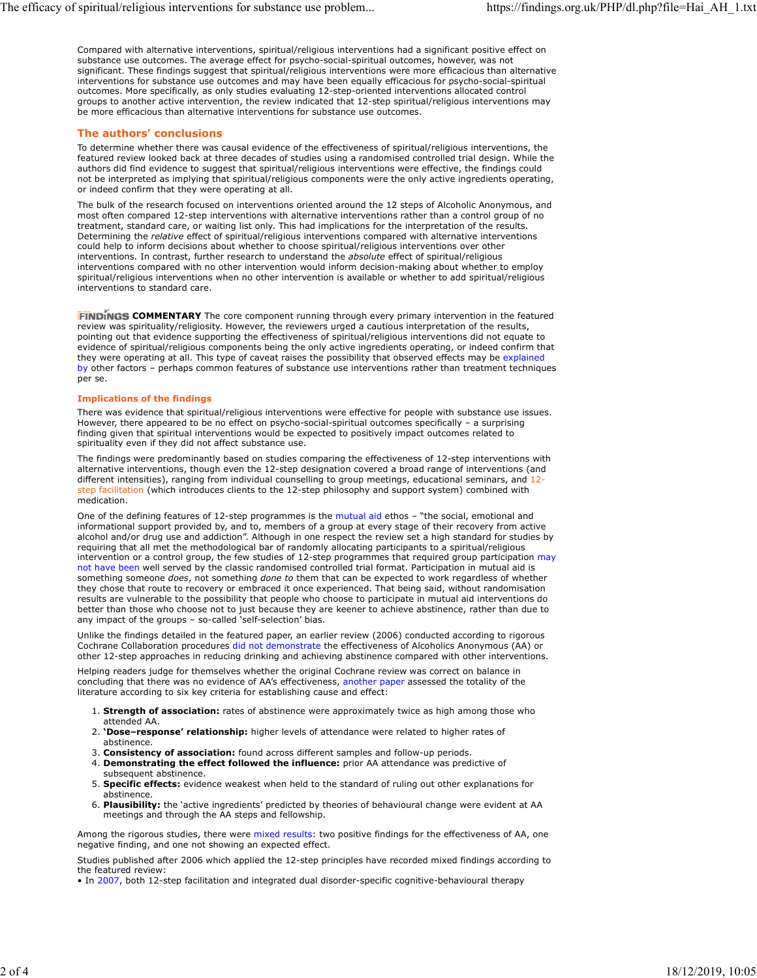Compared with alternative interventions, spiritual/religious interventions had a significant positive effect on substance use outcomes. The average effect for psycho-social-spiritual outcomes, however, was not significant. These findings suggest that spiritual/religious interventions were more efficacious than alternative interventions for substance use outcomes and may have been equally efficacious for psycho-social-spiritual outcomes. More specifically, as only studies evaluating 12-step-oriented interventions allocated control groups to another active intervention, the review indicated that 12-step spiritual/religious interventions may be more efficacious than alternative interventions for substance use outcomes.

## The authors' conclusions

To determine whether there was causal evidence of the effectiveness of spiritual/religious interventions, the featured review looked back at three decades of studies using a randomised controlled trial design. While the authors did find evidence to suggest that spiritual/religious interventions were effective, the findings could not be interpreted as implying that spiritual/religious components were the only active ingredients operating, or indeed confirm that they were operating at all.

The bulk of the research focused on interventions oriented around the 12 steps of Alcoholic Anonymous, and most often compared 12-step interventions with alternative interventions rather than a control group of no treatment, standard care, or waiting list only. This had implications for the interpretation of the results. Determining the relative effect of spiritual/religious interventions compared with alternative interventions could help to inform decisions about whether to choose spiritual/religious interventions over other interventions. In contrast, further research to understand the absolute effect of spiritual/religious interventions compared with no other intervention would inform decision-making about whether to employ spiritual/religious interventions when no other intervention is available or whether to add spiritual/religious interventions to standard care.

**FINDINGS COMMENTARY** The core component running through every primary intervention in the featured review was spirituality/religiosity. However, the reviewers urged a cautious interpretation of the results, pointing out that evidence supporting the effectiveness of spiritual/religious interventions did not equate to evidence of spiritual/religious components being the only active ingredients operating, or indeed confirm that they were operating at all. This type of caveat raises the possibility that observed effects may be explained by other factors – perhaps common features of substance use interventions rather than treatment techniques per se.

#### Implications of the findings

There was evidence that spiritual/religious interventions were effective for people with substance use issues. However, there appeared to be no effect on psycho-social-spiritual outcomes specifically – a surprising finding given that spiritual interventions would be expected to positively impact outcomes related to spirituality even if they did not affect substance use.

The findings were predominantly based on studies comparing the effectiveness of 12-step interventions with alternative interventions, though even the 12-step designation covered a broad range of interventions (and different intensities), ranging from individual counselling to group meetings, educational seminars, and 12 step facilitation (which introduces clients to the 12-step philosophy and support system) combined with medication.

One of the defining features of 12-step programmes is the mutual aid ethos – "the social, emotional and informational support provided by, and to, members of a group at every stage of their recovery from active alcohol and/or drug use and addiction". Although in one respect the review set a high standard for studies by requiring that all met the methodological bar of randomly allocating participants to a spiritual/religious intervention or a control group, the few studies of 12-step programmes that required group participation may not have been well served by the classic randomised controlled trial format. Participation in mutual aid is something someone does, not something done to them that can be expected to work regardless of whether they chose that route to recovery or embraced it once experienced. That being said, without randomisation results are vulnerable to the possibility that people who choose to participate in mutual aid interventions do better than those who choose not to just because they are keener to achieve abstinence, rather than due to any impact of the groups – so-called 'self-selection' bias.

Unlike the findings detailed in the featured paper, an earlier review (2006) conducted according to rigorous Cochrane Collaboration procedures did not demonstrate the effectiveness of Alcoholics Anonymous (AA) or other 12-step approaches in reducing drinking and achieving abstinence compared with other interventions.

Helping readers judge for themselves whether the original Cochrane review was correct on balance in concluding that there was no evidence of AA's effectiveness, another paper assessed the totality of the literature according to six key criteria for establishing cause and effect:

- 1. Strength of association: rates of abstinence were approximately twice as high among those who attended AA.
- 2. 'Dose-response' relationship: higher levels of attendance were related to higher rates of abstinence.
- 3. Consistency of association: found across different samples and follow-up periods.
- 4. Demonstrating the effect followed the influence: prior AA attendance was predictive of subsequent abstinence.
- 5. Specific effects: evidence weakest when held to the standard of ruling out other explanations for abstinence.
- 6. Plausibility: the 'active ingredients' predicted by theories of behavioural change were evident at AA meetings and through the AA steps and fellowship.

Among the rigorous studies, there were mixed results: two positive findings for the effectiveness of AA, one negative finding, and one not showing an expected effect.

Studies published after 2006 which applied the 12-step principles have recorded mixed findings according to the featured review:

• In 2007, both 12-step facilitation and integrated dual disorder-specific cognitive-behavioural therapy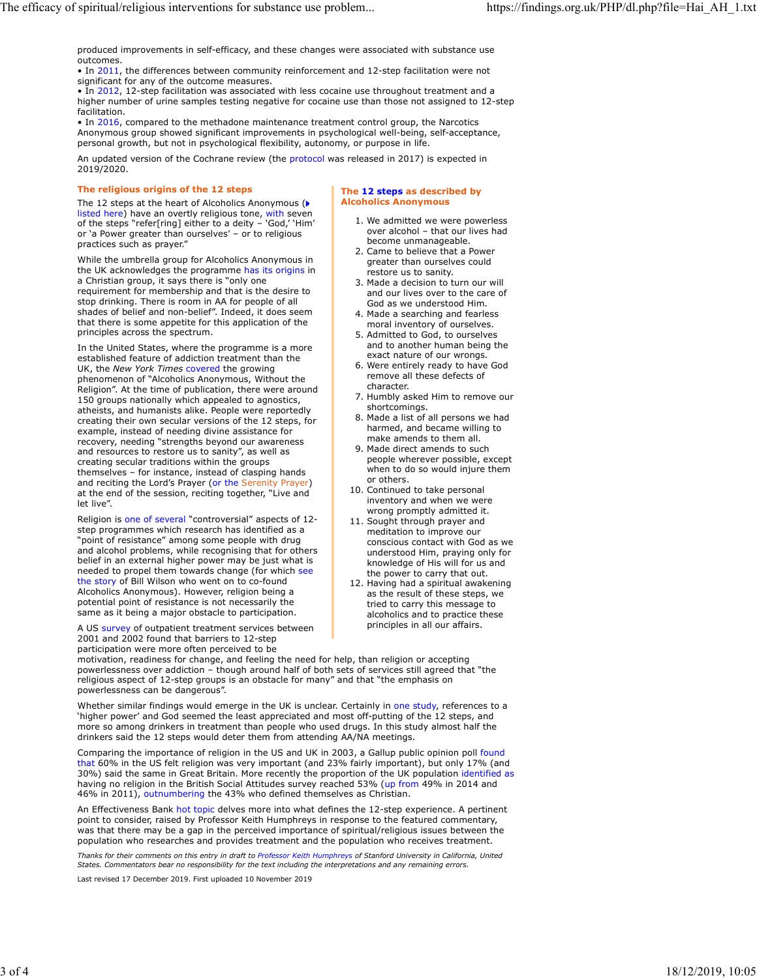produced improvements in self-efficacy, and these changes were associated with substance use outcomes.

• In 2011, the differences between community reinforcement and 12-step facilitation were not significant for any of the outcome measures.

• In 2012, 12-step facilitation was associated with less cocaine use throughout treatment and a higher number of urine samples testing negative for cocaine use than those not assigned to 12-step facilitation.

• In 2016, compared to the methadone maintenance treatment control group, the Narcotics Anonymous group showed significant improvements in psychological well-being, self-acceptance, personal growth, but not in psychological flexibility, autonomy, or purpose in life.

An updated version of the Cochrane review (the protocol was released in 2017) is expected in 2019/2020.

#### The religious origins of the 12 steps

The 12 steps at the heart of Alcoholics Anonymous ( listed here) have an overtly religious tone, with seven of the steps "refer[ring] either to a deity – 'God,' 'Him' or 'a Power greater than ourselves' – or to religious practices such as prayer."

While the umbrella group for Alcoholics Anonymous in the UK acknowledges the programme has its origins in a Christian group, it says there is "only one requirement for membership and that is the desire to stop drinking. There is room in AA for people of all shades of belief and non-belief". Indeed, it does seem  $\overline{a}$  a Made a searching and fearless that there is some appetite for this application of the principles across the spectrum.

In the United States, where the programme is a more established feature of addiction treatment than the UK, the New York Times covered the growing phenomenon of "Alcoholics Anonymous, Without the Religion". At the time of publication, there were around 150 groups nationally which appealed to agnostics, atheists, and humanists alike. People were reportedly creating their own secular versions of the 12 steps, for example, instead of needing divine assistance for recovery, needing "strengths beyond our awareness and resources to restore us to sanity", as well as creating secular traditions within the groups themselves – for instance, instead of clasping hands and reciting the Lord's Prayer (or the Serenity Prayer) at the end of the session, reciting together, "Live and let live".

Religion is one of several "controversial" aspects of 12 step programmes which research has identified as a "point of resistance" among some people with drug and alcohol problems, while recognising that for others belief in an external higher power may be just what is needed to propel them towards change (for which see the story of Bill Wilson who went on to co-found Alcoholics Anonymous). However, religion being a potential point of resistance is not necessarily the same as it being a major obstacle to participation.

A US survey of outpatient treatment services between 2001 and 2002 found that barriers to 12-step participation were more often perceived to be

The 12 steps as described by Alcoholics Anonymous

- 1. We admitted we were powerless over alcohol – that our lives had become unmanageable.
- 2. Came to believe that a Power greater than ourselves could restore us to sanity.
- 3. Made a decision to turn our will and our lives over to the care of God as we understood Him.
- 4. Made a searching and fearless moral inventory of ourselves.
- 5. Admitted to God, to ourselves and to another human being the exact nature of our wrongs.
- 6. Were entirely ready to have God remove all these defects of character.
- 7. Humbly asked Him to remove our shortcomings.
- 8. Made a list of all persons we had harmed, and became willing to make amends to them all.
- 9. Made direct amends to such people wherever possible, except when to do so would injure them or others.
- 10. Continued to take personal inventory and when we were wrong promptly admitted it.
- 11. Sought through prayer and meditation to improve our conscious contact with God as we understood Him, praying only for knowledge of His will for us and the power to carry that out.
- 12. Having had a spiritual awakening as the result of these steps, we tried to carry this message to alcoholics and to practice these principles in all our affairs.

motivation, readiness for change, and feeling the need for help, than religion or accepting powerlessness over addiction – though around half of both sets of services still agreed that "the religious aspect of 12-step groups is an obstacle for many" and that "the emphasis on powerlessness can be dangerous".

Whether similar findings would emerge in the UK is unclear. Certainly in one study, references to a 'higher power' and God seemed the least appreciated and most off-putting of the 12 steps, and more so among drinkers in treatment than people who used drugs. In this study almost half the drinkers said the 12 steps would deter them from attending AA/NA meetings.

Comparing the importance of religion in the US and UK in 2003, a Gallup public opinion poll found that 60% in the US felt religion was very important (and 23% fairly important), but only 17% (and 30%) said the same in Great Britain. More recently the proportion of the UK population identified as having no religion in the British Social Attitudes survey reached 53% (up from 49% in 2014 and 46% in 2011), outnumbering the 43% who defined themselves as Christian.

An Effectiveness Bank hot topic delves more into what defines the 12-step experience. A pertinent point to consider, raised by Professor Keith Humphreys in response to the featured commentary, was that there may be a gap in the perceived importance of spiritual/religious issues between the population who researches and provides treatment and the population who receives treatment.

Thanks for their comments on this entry in draft to Professor Keith Humphreys of Stanford University in California, United<br>States. Commentators bear no responsibility for the text including the interpretations and any rema

Last revised 17 December 2019. First uploaded 10 November 2019